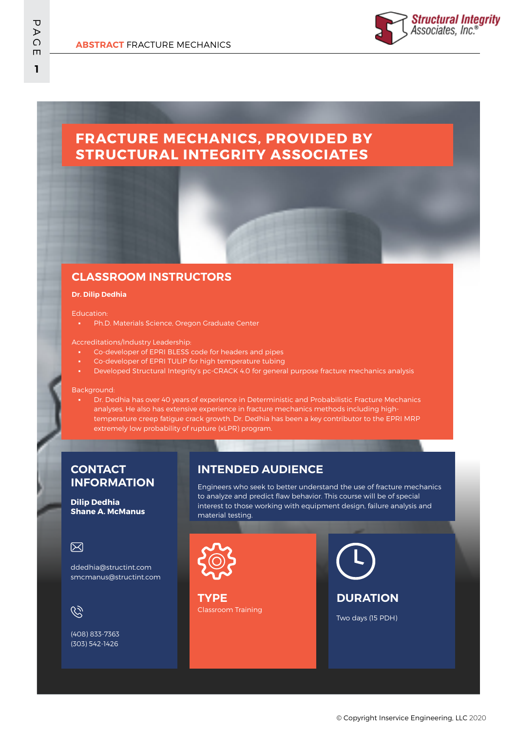

# **FRACTURE MECHANICS, PROVIDED BY STRUCTURAL INTEGRITY ASSOCIATES**

## **CLASSROOM INSTRUCTORS**

### **Dr. Dilip Dedhia**

#### Education:

▪ Ph.D. Materials Science, Oregon Graduate Center

#### Accreditations/Industry Leadership:

- Co-developer of EPRI BLESS code for headers and pipes
- Co-developer of EPRI TULIP for high temperature tubing
- Developed Structural Integrity's pc-CRACK 4.0 for general purpose fracture mechanics analysis

### Background:

Dr. Dedhia has over 40 years of experience in Deterministic and Probabilistic Fracture Mechanics analyses. He also has extensive experience in fracture mechanics methods including hightemperature creep fatigue crack growth. Dr. Dedhia has been a key contributor to the EPRI MRP extremely low probability of rupture (xLPR) program.

### **CONTACT INFORMATION**

**Dilip Dedhia Shane A. McManus**

### 冈

ddedhia@structint.com smcmanus@structint.com

 $\mathcal{C}$ 

(408) 833-7363 (303) 542-1426

# **INTENDED AUDIENCE**

Engineers who seek to better understand the use of fracture mechanics to analyze and predict flaw behavior. This course will be of special interest to those working with equipment design, failure analysis and material testing.



Classroom Training **TYPE**



Two days (15 PDH)